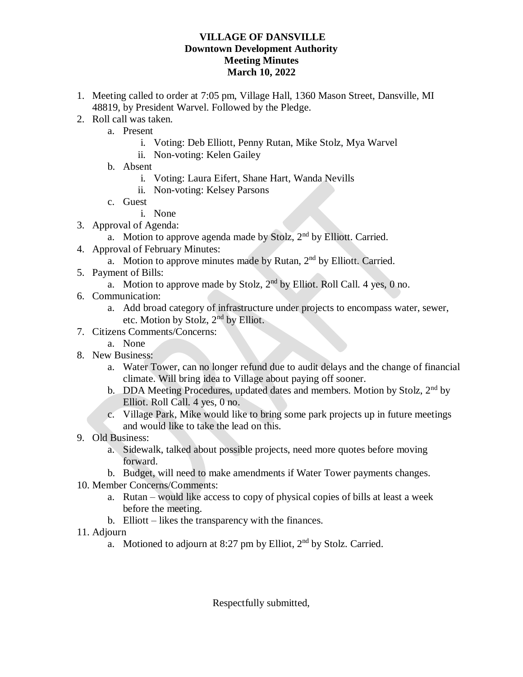## **VILLAGE OF DANSVILLE Downtown Development Authority Meeting Minutes March 10, 2022**

- 1. Meeting called to order at 7:05 pm, Village Hall, 1360 Mason Street, Dansville, MI 48819, by President Warvel. Followed by the Pledge.
- 2. Roll call was taken.
	- a. Present
		- i. Voting: Deb Elliott, Penny Rutan, Mike Stolz, Mya Warvel
		- ii. Non-voting: Kelen Gailey
	- b. Absent
		- i. Voting: Laura Eifert, Shane Hart, Wanda Nevills
		- ii. Non-voting: Kelsey Parsons
	- c. Guest
		- i. None
- 3. Approval of Agenda:
	- a. Motion to approve agenda made by Stolz,  $2<sup>nd</sup>$  by Elliott. Carried.
- 4. Approval of February Minutes:
	- a. Motion to approve minutes made by Rutan, 2<sup>nd</sup> by Elliott. Carried.
- 5. Payment of Bills:
	- a. Motion to approve made by Stolz,  $2<sup>nd</sup>$  by Elliot. Roll Call. 4 yes, 0 no.
- 6. Communication:
	- a. Add broad category of infrastructure under projects to encompass water, sewer, etc. Motion by Stolz, 2nd by Elliot.
- 7. Citizens Comments/Concerns:
	- a. None
- 8. New Business:
	- a. Water Tower, can no longer refund due to audit delays and the change of financial climate. Will bring idea to Village about paying off sooner.
	- b. DDA Meeting Procedures, updated dates and members. Motion by Stolz, 2<sup>nd</sup> by Elliot. Roll Call. 4 yes, 0 no.
	- c. Village Park, Mike would like to bring some park projects up in future meetings and would like to take the lead on this.
- 9. Old Business:
	- a. Sidewalk, talked about possible projects, need more quotes before moving forward.
	- b. Budget, will need to make amendments if Water Tower payments changes.
- 10. Member Concerns/Comments:
	- a. Rutan would like access to copy of physical copies of bills at least a week before the meeting.
	- b. Elliott likes the transparency with the finances.
- 11. Adjourn
	- a. Motioned to adjourn at 8:27 pm by Elliot,  $2<sup>nd</sup>$  by Stolz. Carried.

Respectfully submitted,